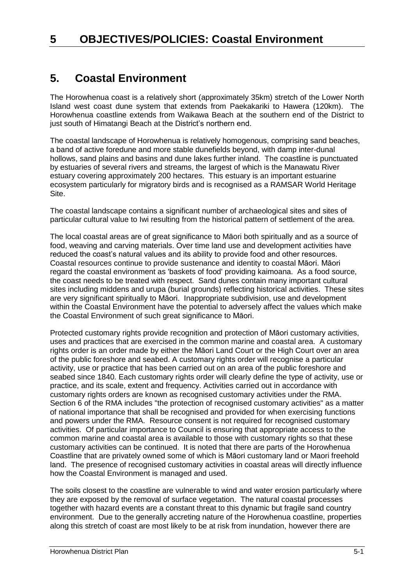# **5. Coastal Environment**

The Horowhenua coast is a relatively short (approximately 35km) stretch of the Lower North Island west coast dune system that extends from Paekakariki to Hawera (120km). The Horowhenua coastline extends from Waikawa Beach at the southern end of the District to just south of Himatangi Beach at the District's northern end.

The coastal landscape of Horowhenua is relatively homogenous, comprising sand beaches, a band of active foredune and more stable dunefields beyond, with damp inter-dunal hollows, sand plains and basins and dune lakes further inland. The coastline is punctuated by estuaries of several rivers and streams, the largest of which is the Manawatu River estuary covering approximately 200 hectares. This estuary is an important estuarine ecosystem particularly for migratory birds and is recognised as a RAMSAR World Heritage Site.

The coastal landscape contains a significant number of archaeological sites and sites of particular cultural value to Iwi resulting from the historical pattern of settlement of the area.

The local coastal areas are of great significance to Māori both spiritually and as a source of food, weaving and carving materials. Over time land use and development activities have reduced the coast's natural values and its ability to provide food and other resources. Coastal resources continue to provide sustenance and identity to coastal Māori. Māori regard the coastal environment as 'baskets of food' providing kaimoana. As a food source, the coast needs to be treated with respect. Sand dunes contain many important cultural sites including middens and urupa (burial grounds) reflecting historical activities. These sites are very significant spiritually to Māori. Inappropriate subdivision, use and development within the Coastal Environment have the potential to adversely affect the values which make the Coastal Environment of such great significance to Māori.

Protected customary rights provide recognition and protection of Māori customary activities, uses and practices that are exercised in the common marine and coastal area. A customary rights order is an order made by either the Māori Land Court or the High Court over an area of the public foreshore and seabed. A customary rights order will recognise a particular activity, use or practice that has been carried out on an area of the public foreshore and seabed since 1840. Each customary rights order will clearly define the type of activity, use or practice, and its scale, extent and frequency. Activities carried out in accordance with customary rights orders are known as recognised customary activities under the RMA. Section 6 of the RMA includes "the protection of recognised customary activities" as a matter of national importance that shall be recognised and provided for when exercising functions and powers under the RMA. Resource consent is not required for recognised customary activities. Of particular importance to Council is ensuring that appropriate access to the common marine and coastal area is available to those with customary rights so that these customary activities can be continued. It is noted that there are parts of the Horowhenua Coastline that are privately owned some of which is Māori customary land or Maori freehold land. The presence of recognised customary activities in coastal areas will directly influence how the Coastal Environment is managed and used.

The soils closest to the coastline are vulnerable to wind and water erosion particularly where they are exposed by the removal of surface vegetation. The natural coastal processes together with hazard events are a constant threat to this dynamic but fragile sand country environment. Due to the generally accreting nature of the Horowhenua coastline, properties along this stretch of coast are most likely to be at risk from inundation, however there are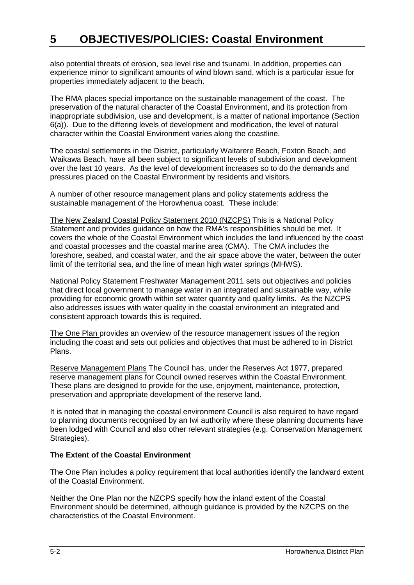also potential threats of erosion, sea level rise and tsunami. In addition, properties can experience minor to significant amounts of wind blown sand, which is a particular issue for properties immediately adjacent to the beach.

The RMA places special importance on the sustainable management of the coast. The preservation of the natural character of the Coastal Environment, and its protection from inappropriate subdivision, use and development, is a matter of national importance (Section 6(a)). Due to the differing levels of development and modification, the level of natural character within the Coastal Environment varies along the coastline.

The coastal settlements in the District, particularly Waitarere Beach, Foxton Beach, and Waikawa Beach, have all been subject to significant levels of subdivision and development over the last 10 years. As the level of development increases so to do the demands and pressures placed on the Coastal Environment by residents and visitors.

A number of other resource management plans and policy statements address the sustainable management of the Horowhenua coast. These include:

The New Zealand Coastal Policy Statement 2010 (NZCPS) This is a National Policy Statement and provides guidance on how the RMA's responsibilities should be met. It covers the whole of the Coastal Environment which includes the land influenced by the coast and coastal processes and the coastal marine area (CMA). The CMA includes the foreshore, seabed, and coastal water, and the air space above the water, between the outer limit of the territorial sea, and the line of mean high water springs (MHWS).

National Policy Statement Freshwater Management 2011 sets out objectives and policies that direct local government to manage water in an integrated and sustainable way, while providing for economic growth within set water quantity and quality limits. As the NZCPS also addresses issues with water quality in the coastal environment an integrated and consistent approach towards this is required.

The One Plan provides an overview of the resource management issues of the region including the coast and sets out policies and objectives that must be adhered to in District Plans.

Reserve Management Plans The Council has, under the Reserves Act 1977, prepared reserve management plans for Council owned reserves within the Coastal Environment. These plans are designed to provide for the use, enjoyment, maintenance, protection, preservation and appropriate development of the reserve land.

It is noted that in managing the coastal environment Council is also required to have regard to planning documents recognised by an Iwi authority where these planning documents have been lodged with Council and also other relevant strategies (e.g. Conservation Management Strategies).

#### **The Extent of the Coastal Environment**

The One Plan includes a policy requirement that local authorities identify the landward extent of the Coastal Environment.

Neither the One Plan nor the NZCPS specify how the inland extent of the Coastal Environment should be determined, although guidance is provided by the NZCPS on the characteristics of the Coastal Environment.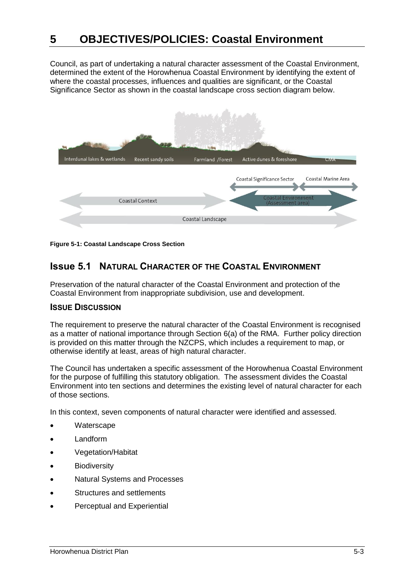Council, as part of undertaking a natural character assessment of the Coastal Environment, determined the extent of the Horowhenua Coastal Environment by identifying the extent of where the coastal processes, influences and qualities are significant, or the Coastal Significance Sector as shown in the coastal landscape cross section diagram below.



**Figure 5-1: Coastal Landscape Cross Section**

# **Issue 5.1 NATURAL CHARACTER OF THE COASTAL ENVIRONMENT**

Preservation of the natural character of the Coastal Environment and protection of the Coastal Environment from inappropriate subdivision, use and development.

## **ISSUE DISCUSSION**

The requirement to preserve the natural character of the Coastal Environment is recognised as a matter of national importance through Section 6(a) of the RMA. Further policy direction is provided on this matter through the NZCPS, which includes a requirement to map, or otherwise identify at least, areas of high natural character.

The Council has undertaken a specific assessment of the Horowhenua Coastal Environment for the purpose of fulfilling this statutory obligation. The assessment divides the Coastal Environment into ten sections and determines the existing level of natural character for each of those sections.

In this context, seven components of natural character were identified and assessed.

- **Waterscape**
- Landform
- Vegetation/Habitat
- **Biodiversity**
- Natural Systems and Processes
- Structures and settlements
- Perceptual and Experiential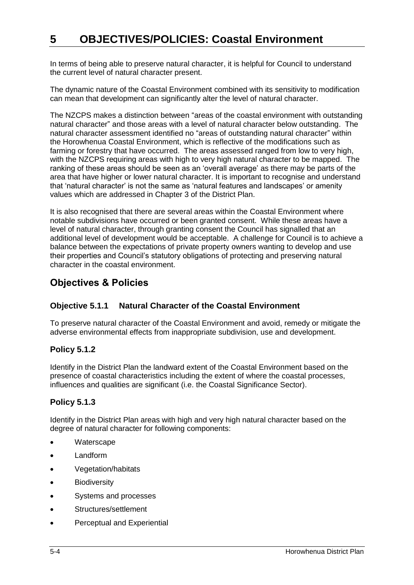In terms of being able to preserve natural character, it is helpful for Council to understand the current level of natural character present.

The dynamic nature of the Coastal Environment combined with its sensitivity to modification can mean that development can significantly alter the level of natural character.

The NZCPS makes a distinction between "areas of the coastal environment with outstanding natural character" and those areas with a level of natural character below outstanding. The natural character assessment identified no "areas of outstanding natural character" within the Horowhenua Coastal Environment, which is reflective of the modifications such as farming or forestry that have occurred. The areas assessed ranged from low to very high, with the NZCPS requiring areas with high to very high natural character to be mapped. The ranking of these areas should be seen as an 'overall average' as there may be parts of the area that have higher or lower natural character. It is important to recognise and understand that 'natural character' is not the same as 'natural features and landscapes' or amenity values which are addressed in Chapter 3 of the District Plan.

It is also recognised that there are several areas within the Coastal Environment where notable subdivisions have occurred or been granted consent. While these areas have a level of natural character, through granting consent the Council has signalled that an additional level of development would be acceptable. A challenge for Council is to achieve a balance between the expectations of private property owners wanting to develop and use their properties and Council's statutory obligations of protecting and preserving natural character in the coastal environment.

# **Objectives & Policies**

# **Objective 5.1.1 Natural Character of the Coastal Environment**

To preserve natural character of the Coastal Environment and avoid, remedy or mitigate the adverse environmental effects from inappropriate subdivision, use and development.

# **Policy 5.1.2**

Identify in the District Plan the landward extent of the Coastal Environment based on the presence of coastal characteristics including the extent of where the coastal processes, influences and qualities are significant (i.e. the Coastal Significance Sector).

# **Policy 5.1.3**

Identify in the District Plan areas with high and very high natural character based on the degree of natural character for following components:

- **Waterscape**
- Landform
- Vegetation/habitats
- **Biodiversity**
- Systems and processes
- Structures/settlement
- Perceptual and Experiential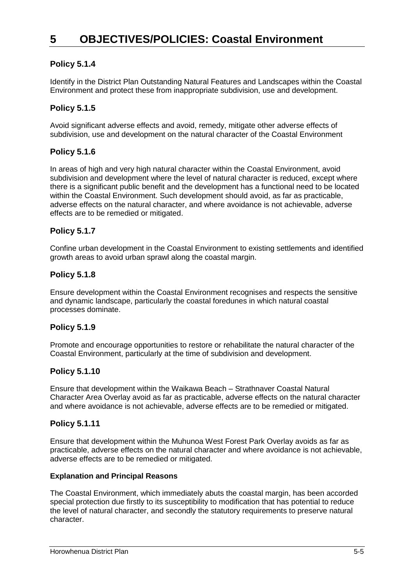# **Policy 5.1.4**

Identify in the District Plan Outstanding Natural Features and Landscapes within the Coastal Environment and protect these from inappropriate subdivision, use and development.

# **Policy 5.1.5**

Avoid significant adverse effects and avoid, remedy, mitigate other adverse effects of subdivision, use and development on the natural character of the Coastal Environment

## **Policy 5.1.6**

In areas of high and very high natural character within the Coastal Environment, avoid subdivision and development where the level of natural character is reduced, except where there is a significant public benefit and the development has a functional need to be located within the Coastal Environment. Such development should avoid, as far as practicable, adverse effects on the natural character, and where avoidance is not achievable, adverse effects are to be remedied or mitigated.

## **Policy 5.1.7**

Confine urban development in the Coastal Environment to existing settlements and identified growth areas to avoid urban sprawl along the coastal margin.

#### **Policy 5.1.8**

Ensure development within the Coastal Environment recognises and respects the sensitive and dynamic landscape, particularly the coastal foredunes in which natural coastal processes dominate.

#### **Policy 5.1.9**

Promote and encourage opportunities to restore or rehabilitate the natural character of the Coastal Environment, particularly at the time of subdivision and development.

#### **Policy 5.1.10**

Ensure that development within the Waikawa Beach – Strathnaver Coastal Natural Character Area Overlay avoid as far as practicable, adverse effects on the natural character and where avoidance is not achievable, adverse effects are to be remedied or mitigated.

#### **Policy 5.1.11**

Ensure that development within the Muhunoa West Forest Park Overlay avoids as far as practicable, adverse effects on the natural character and where avoidance is not achievable, adverse effects are to be remedied or mitigated.

#### **Explanation and Principal Reasons**

The Coastal Environment, which immediately abuts the coastal margin, has been accorded special protection due firstly to its susceptibility to modification that has potential to reduce the level of natural character, and secondly the statutory requirements to preserve natural character.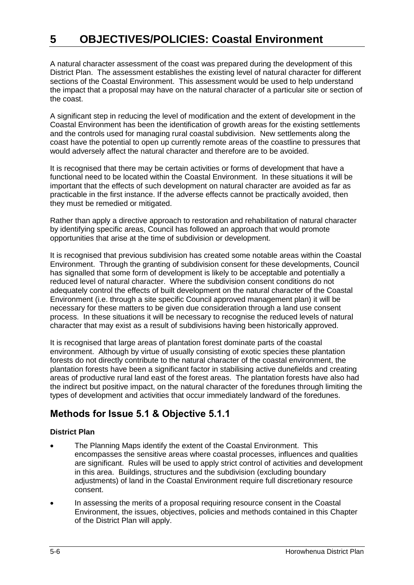A natural character assessment of the coast was prepared during the development of this District Plan. The assessment establishes the existing level of natural character for different sections of the Coastal Environment. This assessment would be used to help understand the impact that a proposal may have on the natural character of a particular site or section of the coast.

A significant step in reducing the level of modification and the extent of development in the Coastal Environment has been the identification of growth areas for the existing settlements and the controls used for managing rural coastal subdivision. New settlements along the coast have the potential to open up currently remote areas of the coastline to pressures that would adversely affect the natural character and therefore are to be avoided.

It is recognised that there may be certain activities or forms of development that have a functional need to be located within the Coastal Environment. In these situations it will be important that the effects of such development on natural character are avoided as far as practicable in the first instance. If the adverse effects cannot be practically avoided, then they must be remedied or mitigated.

Rather than apply a directive approach to restoration and rehabilitation of natural character by identifying specific areas, Council has followed an approach that would promote opportunities that arise at the time of subdivision or development.

It is recognised that previous subdivision has created some notable areas within the Coastal Environment. Through the granting of subdivision consent for these developments, Council has signalled that some form of development is likely to be acceptable and potentially a reduced level of natural character. Where the subdivision consent conditions do not adequately control the effects of built development on the natural character of the Coastal Environment (i.e. through a site specific Council approved management plan) it will be necessary for these matters to be given due consideration through a land use consent process. In these situations it will be necessary to recognise the reduced levels of natural character that may exist as a result of subdivisions having been historically approved.

It is recognised that large areas of plantation forest dominate parts of the coastal environment. Although by virtue of usually consisting of exotic species these plantation forests do not directly contribute to the natural character of the coastal environment, the plantation forests have been a significant factor in stabilising active dunefields and creating areas of productive rural land east of the forest areas. The plantation forests have also had the indirect but positive impact, on the natural character of the foredunes through limiting the types of development and activities that occur immediately landward of the foredunes.

# **Methods for Issue 5.1 & Objective 5.1.1**

## **District Plan**

- The Planning Maps identify the extent of the Coastal Environment. This encompasses the sensitive areas where coastal processes, influences and qualities are significant. Rules will be used to apply strict control of activities and development in this area. Buildings, structures and the subdivision (excluding boundary adjustments) of land in the Coastal Environment require full discretionary resource consent.
- In assessing the merits of a proposal requiring resource consent in the Coastal Environment, the issues, objectives, policies and methods contained in this Chapter of the District Plan will apply.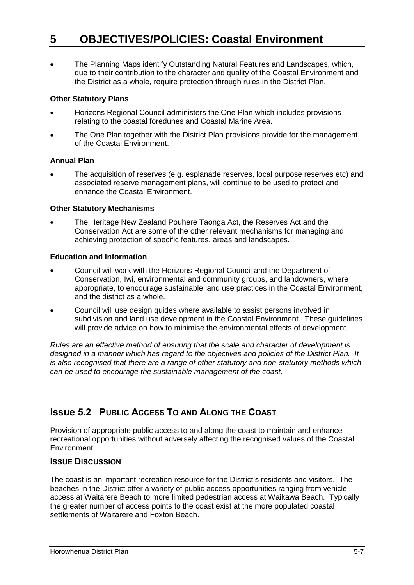The Planning Maps identify Outstanding Natural Features and Landscapes, which, due to their contribution to the character and quality of the Coastal Environment and the District as a whole, require protection through rules in the District Plan.

#### **Other Statutory Plans**

- Horizons Regional Council administers the One Plan which includes provisions relating to the coastal foredunes and Coastal Marine Area.
- The One Plan together with the District Plan provisions provide for the management of the Coastal Environment.

#### **Annual Plan**

 The acquisition of reserves (e.g. esplanade reserves, local purpose reserves etc) and associated reserve management plans, will continue to be used to protect and enhance the Coastal Environment.

#### **Other Statutory Mechanisms**

 The Heritage New Zealand Pouhere Taonga Act, the Reserves Act and the Conservation Act are some of the other relevant mechanisms for managing and achieving protection of specific features, areas and landscapes.

#### **Education and Information**

- Council will work with the Horizons Regional Council and the Department of Conservation, Iwi, environmental and community groups, and landowners, where appropriate, to encourage sustainable land use practices in the Coastal Environment, and the district as a whole.
- Council will use design guides where available to assist persons involved in subdivision and land use development in the Coastal Environment. These guidelines will provide advice on how to minimise the environmental effects of development.

*Rules are an effective method of ensuring that the scale and character of development is designed in a manner which has regard to the objectives and policies of the District Plan. It is also recognised that there are a range of other statutory and non-statutory methods which can be used to encourage the sustainable management of the coast.*

# **Issue 5.2 PUBLIC ACCESS TO AND ALONG THE COAST**

Provision of appropriate public access to and along the coast to maintain and enhance recreational opportunities without adversely affecting the recognised values of the Coastal Environment.

#### **ISSUE DISCUSSION**

The coast is an important recreation resource for the District's residents and visitors. The beaches in the District offer a variety of public access opportunities ranging from vehicle access at Waitarere Beach to more limited pedestrian access at Waikawa Beach. Typically the greater number of access points to the coast exist at the more populated coastal settlements of Waitarere and Foxton Beach.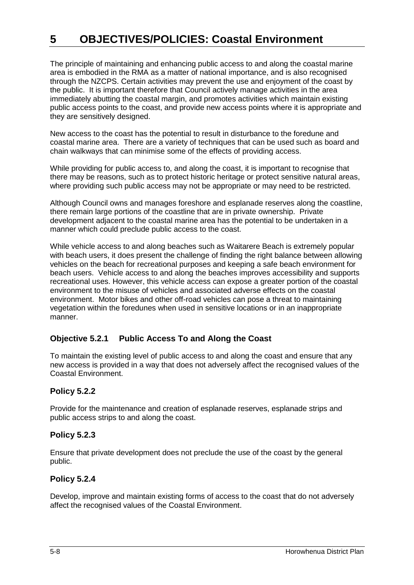The principle of maintaining and enhancing public access to and along the coastal marine area is embodied in the RMA as a matter of national importance, and is also recognised through the NZCPS. Certain activities may prevent the use and enjoyment of the coast by the public. It is important therefore that Council actively manage activities in the area immediately abutting the coastal margin, and promotes activities which maintain existing public access points to the coast, and provide new access points where it is appropriate and they are sensitively designed.

New access to the coast has the potential to result in disturbance to the foredune and coastal marine area. There are a variety of techniques that can be used such as board and chain walkways that can minimise some of the effects of providing access.

While providing for public access to, and along the coast, it is important to recognise that there may be reasons, such as to protect historic heritage or protect sensitive natural areas, where providing such public access may not be appropriate or may need to be restricted.

Although Council owns and manages foreshore and esplanade reserves along the coastline, there remain large portions of the coastline that are in private ownership. Private development adjacent to the coastal marine area has the potential to be undertaken in a manner which could preclude public access to the coast.

While vehicle access to and along beaches such as Waitarere Beach is extremely popular with beach users, it does present the challenge of finding the right balance between allowing vehicles on the beach for recreational purposes and keeping a safe beach environment for beach users. Vehicle access to and along the beaches improves accessibility and supports recreational uses. However, this vehicle access can expose a greater portion of the coastal environment to the misuse of vehicles and associated adverse effects on the coastal environment. Motor bikes and other off-road vehicles can pose a threat to maintaining vegetation within the foredunes when used in sensitive locations or in an inappropriate manner.

## **Objective 5.2.1 Public Access To and Along the Coast**

To maintain the existing level of public access to and along the coast and ensure that any new access is provided in a way that does not adversely affect the recognised values of the Coastal Environment.

## **Policy 5.2.2**

Provide for the maintenance and creation of esplanade reserves, esplanade strips and public access strips to and along the coast.

## **Policy 5.2.3**

Ensure that private development does not preclude the use of the coast by the general public.

#### **Policy 5.2.4**

Develop, improve and maintain existing forms of access to the coast that do not adversely affect the recognised values of the Coastal Environment.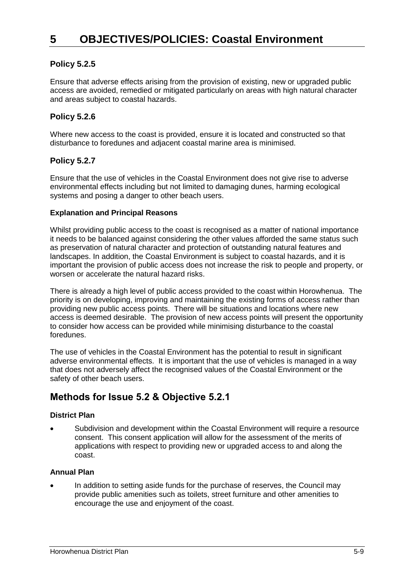# **Policy 5.2.5**

Ensure that adverse effects arising from the provision of existing, new or upgraded public access are avoided, remedied or mitigated particularly on areas with high natural character and areas subject to coastal hazards.

# **Policy 5.2.6**

Where new access to the coast is provided, ensure it is located and constructed so that disturbance to foredunes and adjacent coastal marine area is minimised.

# **Policy 5.2.7**

Ensure that the use of vehicles in the Coastal Environment does not give rise to adverse environmental effects including but not limited to damaging dunes, harming ecological systems and posing a danger to other beach users.

#### **Explanation and Principal Reasons**

Whilst providing public access to the coast is recognised as a matter of national importance it needs to be balanced against considering the other values afforded the same status such as preservation of natural character and protection of outstanding natural features and landscapes. In addition, the Coastal Environment is subject to coastal hazards, and it is important the provision of public access does not increase the risk to people and property, or worsen or accelerate the natural hazard risks.

There is already a high level of public access provided to the coast within Horowhenua. The priority is on developing, improving and maintaining the existing forms of access rather than providing new public access points. There will be situations and locations where new access is deemed desirable. The provision of new access points will present the opportunity to consider how access can be provided while minimising disturbance to the coastal foredunes.

The use of vehicles in the Coastal Environment has the potential to result in significant adverse environmental effects. It is important that the use of vehicles is managed in a way that does not adversely affect the recognised values of the Coastal Environment or the safety of other beach users.

# **Methods for Issue 5.2 & Objective 5.2.1**

#### **District Plan**

 Subdivision and development within the Coastal Environment will require a resource consent. This consent application will allow for the assessment of the merits of applications with respect to providing new or upgraded access to and along the coast.

#### **Annual Plan**

 In addition to setting aside funds for the purchase of reserves, the Council may provide public amenities such as toilets, street furniture and other amenities to encourage the use and enjoyment of the coast.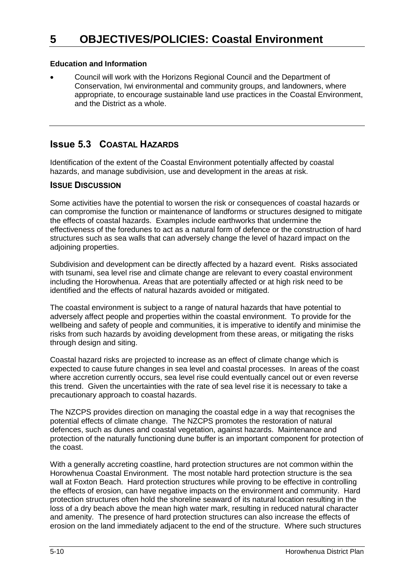#### **Education and Information**

 Council will work with the Horizons Regional Council and the Department of Conservation, Iwi environmental and community groups, and landowners, where appropriate, to encourage sustainable land use practices in the Coastal Environment, and the District as a whole.

# **Issue 5.3 COASTAL HAZARDS**

Identification of the extent of the Coastal Environment potentially affected by coastal hazards, and manage subdivision, use and development in the areas at risk.

## **ISSUE DISCUSSION**

Some activities have the potential to worsen the risk or consequences of coastal hazards or can compromise the function or maintenance of landforms or structures designed to mitigate the effects of coastal hazards. Examples include earthworks that undermine the effectiveness of the foredunes to act as a natural form of defence or the construction of hard structures such as sea walls that can adversely change the level of hazard impact on the adjoining properties.

Subdivision and development can be directly affected by a hazard event. Risks associated with tsunami, sea level rise and climate change are relevant to every coastal environment including the Horowhenua. Areas that are potentially affected or at high risk need to be identified and the effects of natural hazards avoided or mitigated.

The coastal environment is subject to a range of natural hazards that have potential to adversely affect people and properties within the coastal environment. To provide for the wellbeing and safety of people and communities, it is imperative to identify and minimise the risks from such hazards by avoiding development from these areas, or mitigating the risks through design and siting.

Coastal hazard risks are projected to increase as an effect of climate change which is expected to cause future changes in sea level and coastal processes. In areas of the coast where accretion currently occurs, sea level rise could eventually cancel out or even reverse this trend. Given the uncertainties with the rate of sea level rise it is necessary to take a precautionary approach to coastal hazards.

The NZCPS provides direction on managing the coastal edge in a way that recognises the potential effects of climate change. The NZCPS promotes the restoration of natural defences, such as dunes and coastal vegetation, against hazards. Maintenance and protection of the naturally functioning dune buffer is an important component for protection of the coast.

With a generally accreting coastline, hard protection structures are not common within the Horowhenua Coastal Environment. The most notable hard protection structure is the sea wall at Foxton Beach. Hard protection structures while proving to be effective in controlling the effects of erosion, can have negative impacts on the environment and community. Hard protection structures often hold the shoreline seaward of its natural location resulting in the loss of a dry beach above the mean high water mark, resulting in reduced natural character and amenity. The presence of hard protection structures can also increase the effects of erosion on the land immediately adjacent to the end of the structure. Where such structures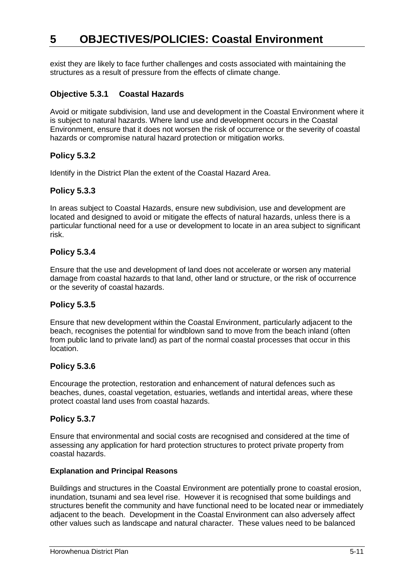exist they are likely to face further challenges and costs associated with maintaining the structures as a result of pressure from the effects of climate change.

## **Objective 5.3.1 Coastal Hazards**

Avoid or mitigate subdivision, land use and development in the Coastal Environment where it is subject to natural hazards. Where land use and development occurs in the Coastal Environment, ensure that it does not worsen the risk of occurrence or the severity of coastal hazards or compromise natural hazard protection or mitigation works.

## **Policy 5.3.2**

Identify in the District Plan the extent of the Coastal Hazard Area.

## **Policy 5.3.3**

In areas subject to Coastal Hazards, ensure new subdivision, use and development are located and designed to avoid or mitigate the effects of natural hazards, unless there is a particular functional need for a use or development to locate in an area subject to significant risk.

#### **Policy 5.3.4**

Ensure that the use and development of land does not accelerate or worsen any material damage from coastal hazards to that land, other land or structure, or the risk of occurrence or the severity of coastal hazards.

#### **Policy 5.3.5**

Ensure that new development within the Coastal Environment, particularly adjacent to the beach, recognises the potential for windblown sand to move from the beach inland (often from public land to private land) as part of the normal coastal processes that occur in this location.

#### **Policy 5.3.6**

Encourage the protection, restoration and enhancement of natural defences such as beaches, dunes, coastal vegetation, estuaries, wetlands and intertidal areas, where these protect coastal land uses from coastal hazards.

#### **Policy 5.3.7**

Ensure that environmental and social costs are recognised and considered at the time of assessing any application for hard protection structures to protect private property from coastal hazards.

#### **Explanation and Principal Reasons**

Buildings and structures in the Coastal Environment are potentially prone to coastal erosion, inundation, tsunami and sea level rise. However it is recognised that some buildings and structures benefit the community and have functional need to be located near or immediately adjacent to the beach. Development in the Coastal Environment can also adversely affect other values such as landscape and natural character. These values need to be balanced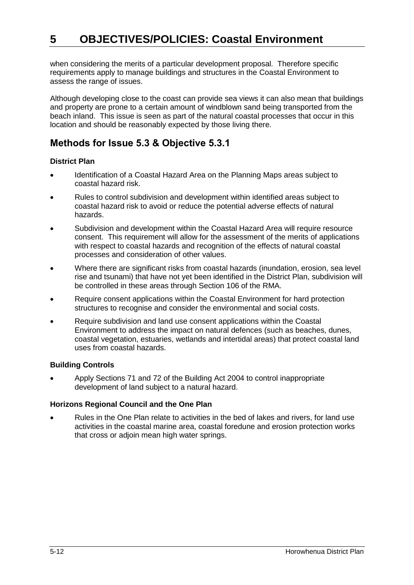when considering the merits of a particular development proposal. Therefore specific requirements apply to manage buildings and structures in the Coastal Environment to assess the range of issues.

Although developing close to the coast can provide sea views it can also mean that buildings and property are prone to a certain amount of windblown sand being transported from the beach inland. This issue is seen as part of the natural coastal processes that occur in this location and should be reasonably expected by those living there.

# **Methods for Issue 5.3 & Objective 5.3.1**

## **District Plan**

- Identification of a Coastal Hazard Area on the Planning Maps areas subject to coastal hazard risk.
- Rules to control subdivision and development within identified areas subject to coastal hazard risk to avoid or reduce the potential adverse effects of natural hazards.
- Subdivision and development within the Coastal Hazard Area will require resource consent. This requirement will allow for the assessment of the merits of applications with respect to coastal hazards and recognition of the effects of natural coastal processes and consideration of other values.
- Where there are significant risks from coastal hazards (inundation, erosion, sea level rise and tsunami) that have not yet been identified in the District Plan, subdivision will be controlled in these areas through Section 106 of the RMA.
- Require consent applications within the Coastal Environment for hard protection structures to recognise and consider the environmental and social costs.
- Require subdivision and land use consent applications within the Coastal Environment to address the impact on natural defences (such as beaches, dunes, coastal vegetation, estuaries, wetlands and intertidal areas) that protect coastal land uses from coastal hazards.

## **Building Controls**

 Apply Sections 71 and 72 of the Building Act 2004 to control inappropriate development of land subject to a natural hazard.

## **Horizons Regional Council and the One Plan**

 Rules in the One Plan relate to activities in the bed of lakes and rivers, for land use activities in the coastal marine area, coastal foredune and erosion protection works that cross or adjoin mean high water springs.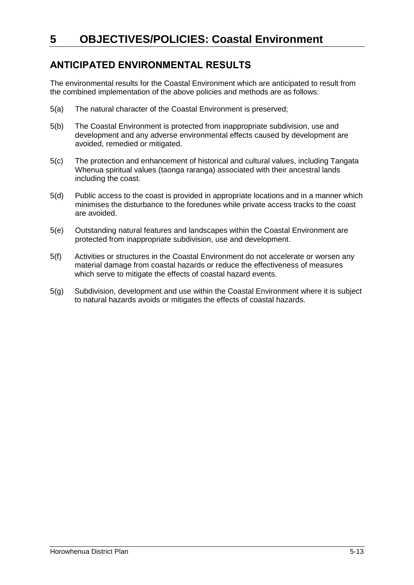# **ANTICIPATED ENVIRONMENTAL RESULTS**

The environmental results for the Coastal Environment which are anticipated to result from the combined implementation of the above policies and methods are as follows:

- 5(a) The natural character of the Coastal Environment is preserved;
- 5(b) The Coastal Environment is protected from inappropriate subdivision, use and development and any adverse environmental effects caused by development are avoided, remedied or mitigated.
- 5(c) The protection and enhancement of historical and cultural values, including Tangata Whenua spiritual values (taonga raranga) associated with their ancestral lands including the coast.
- 5(d) Public access to the coast is provided in appropriate locations and in a manner which minimises the disturbance to the foredunes while private access tracks to the coast are avoided.
- 5(e) Outstanding natural features and landscapes within the Coastal Environment are protected from inappropriate subdivision, use and development.
- 5(f) Activities or structures in the Coastal Environment do not accelerate or worsen any material damage from coastal hazards or reduce the effectiveness of measures which serve to mitigate the effects of coastal hazard events.
- 5(g) Subdivision, development and use within the Coastal Environment where it is subject to natural hazards avoids or mitigates the effects of coastal hazards.